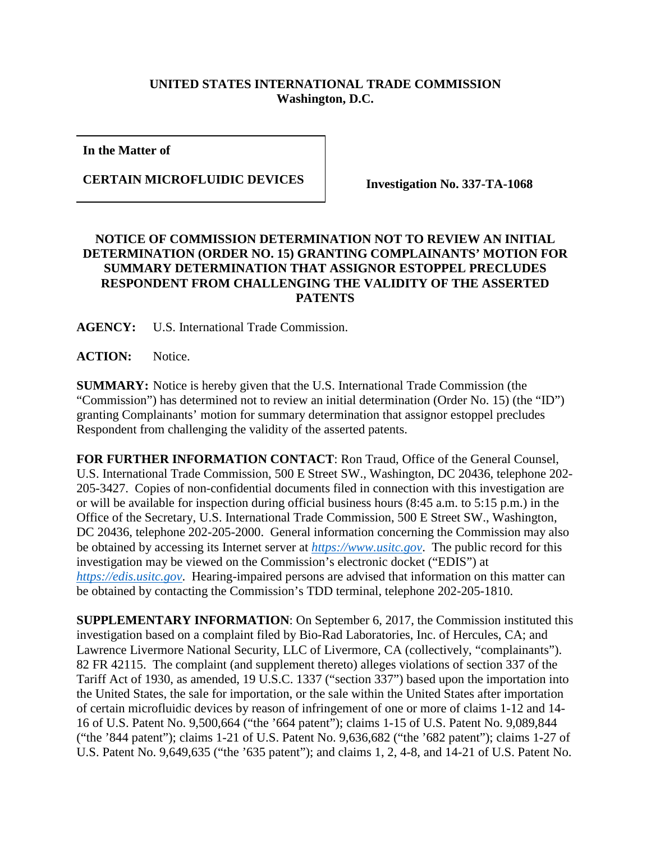## **UNITED STATES INTERNATIONAL TRADE COMMISSION Washington, D.C.**

**In the Matter of**

**CERTAIN MICROFLUIDIC DEVICES Investigation No. 337-TA-1068**

## **NOTICE OF COMMISSION DETERMINATION NOT TO REVIEW AN INITIAL DETERMINATION (ORDER NO. 15) GRANTING COMPLAINANTS' MOTION FOR SUMMARY DETERMINATION THAT ASSIGNOR ESTOPPEL PRECLUDES RESPONDENT FROM CHALLENGING THE VALIDITY OF THE ASSERTED PATENTS**

**AGENCY:** U.S. International Trade Commission.

**ACTION:** Notice.

**SUMMARY:** Notice is hereby given that the U.S. International Trade Commission (the "Commission") has determined not to review an initial determination (Order No. 15) (the "ID") granting Complainants' motion for summary determination that assignor estoppel precludes Respondent from challenging the validity of the asserted patents.

**FOR FURTHER INFORMATION CONTACT**: Ron Traud, Office of the General Counsel, U.S. International Trade Commission, 500 E Street SW., Washington, DC 20436, telephone 202- 205-3427. Copies of non-confidential documents filed in connection with this investigation are or will be available for inspection during official business hours (8:45 a.m. to 5:15 p.m.) in the Office of the Secretary, U.S. International Trade Commission, 500 E Street SW., Washington, DC 20436, telephone 202-205-2000. General information concerning the Commission may also be obtained by accessing its Internet server at *[https://www.usitc.gov](https://www.usitc.gov/)*. The public record for this investigation may be viewed on the Commission's electronic docket ("EDIS") at *[https://edis.usitc.gov](https://edis.usitc.gov/)*. Hearing-impaired persons are advised that information on this matter can be obtained by contacting the Commission's TDD terminal, telephone 202-205-1810.

**SUPPLEMENTARY INFORMATION**: On September 6, 2017, the Commission instituted this investigation based on a complaint filed by Bio-Rad Laboratories, Inc. of Hercules, CA; and Lawrence Livermore National Security, LLC of Livermore, CA (collectively, "complainants"). 82 FR 42115. The complaint (and supplement thereto) alleges violations of section 337 of the Tariff Act of 1930, as amended, 19 U.S.C. 1337 ("section 337") based upon the importation into the United States, the sale for importation, or the sale within the United States after importation of certain microfluidic devices by reason of infringement of one or more of claims 1-12 and 14- 16 of U.S. Patent No. 9,500,664 ("the '664 patent"); claims 1-15 of U.S. Patent No. 9,089,844 ("the '844 patent"); claims 1-21 of U.S. Patent No. 9,636,682 ("the '682 patent"); claims 1-27 of U.S. Patent No. 9,649,635 ("the '635 patent"); and claims 1, 2, 4-8, and 14-21 of U.S. Patent No.